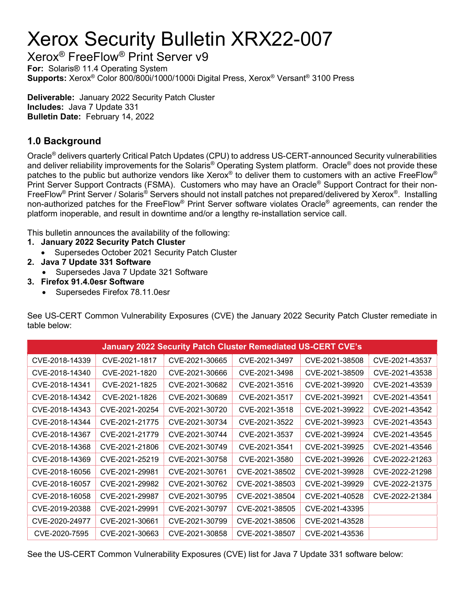# Xerox Security Bulletin XRX22-007

Xerox® FreeFlow® Print Server v9

For: Solaris® 11.4 Operating System Supports: Xerox® Color 800/800i/1000/1000i Digital Press, Xerox® Versant® 3100 Press

Deliverable: January 2022 Security Patch Cluster Includes: Java 7 Update 331 Bulletin Date: February 14, 2022

## 1.0 Background

Oracle® delivers quarterly Critical Patch Updates (CPU) to address US-CERT-announced Security vulnerabilities and deliver reliability improvements for the Solaris® Operating System platform. Oracle® does not provide these patches to the public but authorize vendors like Xerox® to deliver them to customers with an active FreeFlow® Print Server Support Contracts (FSMA). Customers who may have an Oracle® Support Contract for their non-FreeFlow® Print Server / Solaris® Servers should not install patches not prepared/delivered by Xerox®. Installing non-authorized patches for the FreeFlow® Print Server software violates Oracle® agreements, can render the platform inoperable, and result in downtime and/or a lengthy re-installation service call.

This bulletin announces the availability of the following:

- 1. January 2022 Security Patch Cluster
	- Supersedes October 2021 Security Patch Cluster
- 2. Java 7 Update 331 Software
	- Supersedes Java 7 Update 321 Software
- 3. Firefox 91.4.0esr Software
	- Supersedes Firefox 78.11.0esr

See US-CERT Common Vulnerability Exposures (CVE) the January 2022 Security Patch Cluster remediate in table below:

| <b>January 2022 Security Patch Cluster Remediated US-CERT CVE's</b> |                |                |                |                |                |  |
|---------------------------------------------------------------------|----------------|----------------|----------------|----------------|----------------|--|
| CVE-2018-14339                                                      | CVE-2021-1817  | CVE-2021-30665 | CVE-2021-3497  | CVE-2021-38508 | CVE-2021-43537 |  |
| CVE-2018-14340                                                      | CVE-2021-1820  | CVE-2021-30666 | CVE-2021-3498  | CVE-2021-38509 | CVE-2021-43538 |  |
| CVE-2018-14341                                                      | CVE-2021-1825  | CVE-2021-30682 | CVE-2021-3516  | CVE-2021-39920 | CVE-2021-43539 |  |
| CVE-2018-14342                                                      | CVE-2021-1826  | CVE-2021-30689 | CVE-2021-3517  | CVE-2021-39921 | CVE-2021-43541 |  |
| CVE-2018-14343                                                      | CVE-2021-20254 | CVE-2021-30720 | CVE-2021-3518  | CVE-2021-39922 | CVE-2021-43542 |  |
| CVE-2018-14344                                                      | CVE-2021-21775 | CVE-2021-30734 | CVE-2021-3522  | CVE-2021-39923 | CVE-2021-43543 |  |
| CVE-2018-14367                                                      | CVE-2021-21779 | CVE-2021-30744 | CVE-2021-3537  | CVE-2021-39924 | CVE-2021-43545 |  |
| CVE-2018-14368                                                      | CVE-2021-21806 | CVE-2021-30749 | CVE-2021-3541  | CVE-2021-39925 | CVE-2021-43546 |  |
| CVE-2018-14369                                                      | CVE-2021-25219 | CVE-2021-30758 | CVE-2021-3580  | CVE-2021-39926 | CVE-2022-21263 |  |
| CVE-2018-16056                                                      | CVE-2021-29981 | CVE-2021-30761 | CVE-2021-38502 | CVE-2021-39928 | CVE-2022-21298 |  |
| CVE-2018-16057                                                      | CVE-2021-29982 | CVE-2021-30762 | CVE-2021-38503 | CVE-2021-39929 | CVE-2022-21375 |  |
| CVE-2018-16058                                                      | CVE-2021-29987 | CVE-2021-30795 | CVE-2021-38504 | CVE-2021-40528 | CVE-2022-21384 |  |
| CVE-2019-20388                                                      | CVE-2021-29991 | CVE-2021-30797 | CVE-2021-38505 | CVE-2021-43395 |                |  |
| CVE-2020-24977                                                      | CVE-2021-30661 | CVE-2021-30799 | CVE-2021-38506 | CVE-2021-43528 |                |  |
| CVE-2020-7595                                                       | CVE-2021-30663 | CVE-2021-30858 | CVE-2021-38507 | CVE-2021-43536 |                |  |

See the US-CERT Common Vulnerability Exposures (CVE) list for Java 7 Update 331 software below: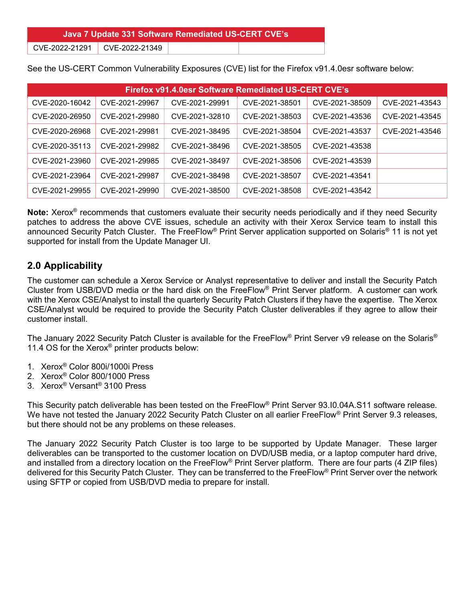Java 7 Update 331 Software Remediated US-CERT CVE's

CVE-2022-21291 CVE-2022-21349

See the US-CERT Common Vulnerability Exposures (CVE) list for the Firefox v91.4.0esr software below:

| Firefox v91.4.0esr Software Remediated US-CERT CVE's |                |                |                |                |                |  |  |
|------------------------------------------------------|----------------|----------------|----------------|----------------|----------------|--|--|
| CVE-2020-16042                                       | CVE-2021-29967 | CVE-2021-29991 | CVE-2021-38501 | CVE-2021-38509 | CVE-2021-43543 |  |  |
| CVE-2020-26950                                       | CVE-2021-29980 | CVE-2021-32810 | CVE-2021-38503 | CVE-2021-43536 | CVE-2021-43545 |  |  |
| CVE-2020-26968                                       | CVE-2021-29981 | CVE-2021-38495 | CVE-2021-38504 | CVE-2021-43537 | CVE-2021-43546 |  |  |
| CVE-2020-35113                                       | CVE-2021-29982 | CVE-2021-38496 | CVE-2021-38505 | CVE-2021-43538 |                |  |  |
| CVE-2021-23960                                       | CVE-2021-29985 | CVE-2021-38497 | CVE-2021-38506 | CVE-2021-43539 |                |  |  |
| CVE-2021-23964                                       | CVE-2021-29987 | CVE-2021-38498 | CVE-2021-38507 | CVE-2021-43541 |                |  |  |
| CVE-2021-29955                                       | CVE-2021-29990 | CVE-2021-38500 | CVE-2021-38508 | CVE-2021-43542 |                |  |  |

Note: Xerox<sup>®</sup> recommends that customers evaluate their security needs periodically and if they need Security patches to address the above CVE issues, schedule an activity with their Xerox Service team to install this announced Security Patch Cluster. The FreeFlow® Print Server application supported on Solaris® 11 is not yet supported for install from the Update Manager UI.

#### 2.0 Applicability

The customer can schedule a Xerox Service or Analyst representative to deliver and install the Security Patch Cluster from USB/DVD media or the hard disk on the FreeFlow® Print Server platform. A customer can work with the Xerox CSE/Analyst to install the quarterly Security Patch Clusters if they have the expertise. The Xerox CSE/Analyst would be required to provide the Security Patch Cluster deliverables if they agree to allow their customer install.

The January 2022 Security Patch Cluster is available for the FreeFlow® Print Server v9 release on the Solaris® 11.4 OS for the Xerox<sup>®</sup> printer products below:

- 1. Xerox® Color 800i/1000i Press
- 2. Xerox® Color 800/1000 Press
- 3. Xerox® Versant® 3100 Press

This Security patch deliverable has been tested on the FreeFlow® Print Server 93.I0.04A.S11 software release. We have not tested the January 2022 Security Patch Cluster on all earlier FreeFlow® Print Server 9.3 releases, but there should not be any problems on these releases.

The January 2022 Security Patch Cluster is too large to be supported by Update Manager. These larger deliverables can be transported to the customer location on DVD/USB media, or a laptop computer hard drive, and installed from a directory location on the FreeFlow® Print Server platform. There are four parts (4 ZIP files) delivered for this Security Patch Cluster. They can be transferred to the FreeFlow® Print Server over the network using SFTP or copied from USB/DVD media to prepare for install.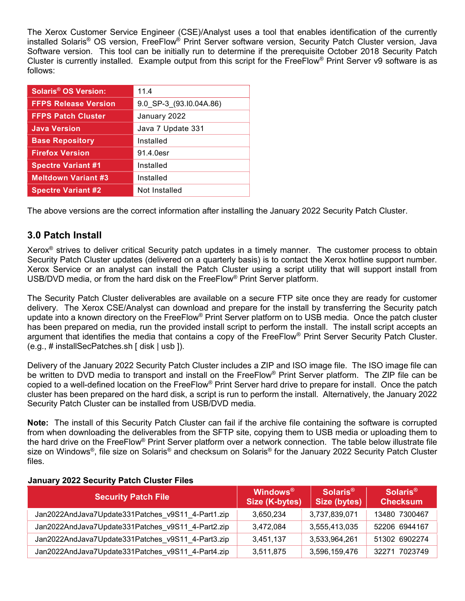The Xerox Customer Service Engineer (CSE)/Analyst uses a tool that enables identification of the currently installed Solaris® OS version, FreeFlow® Print Server software version, Security Patch Cluster version, Java Software version. This tool can be initially run to determine if the prerequisite October 2018 Security Patch Cluster is currently installed. Example output from this script for the FreeFlow<sup>®</sup> Print Server v9 software is as follows:

| <b>Solaris<sup>®</sup> OS Version:</b> | 11.4                    |  |  |
|----------------------------------------|-------------------------|--|--|
| <b>FFPS Release Version</b>            | 9.0 SP-3 (93.10.04A.86) |  |  |
| <b>FFPS Patch Cluster</b>              | January 2022            |  |  |
| <b>Java Version</b>                    | Java 7 Update 331       |  |  |
| <b>Base Repository</b>                 | Installed               |  |  |
| <b>Firefox Version</b>                 | 91.4.0esr               |  |  |
| <b>Spectre Variant #1</b>              | Installed               |  |  |
| <b>Meltdown Variant #3</b>             | Installed               |  |  |
| <b>Spectre Variant #2</b>              | Not Installed           |  |  |

The above versions are the correct information after installing the January 2022 Security Patch Cluster.

#### 3.0 Patch Install

Xerox® strives to deliver critical Security patch updates in a timely manner. The customer process to obtain Security Patch Cluster updates (delivered on a quarterly basis) is to contact the Xerox hotline support number. Xerox Service or an analyst can install the Patch Cluster using a script utility that will support install from USB/DVD media, or from the hard disk on the FreeFlow® Print Server platform.

The Security Patch Cluster deliverables are available on a secure FTP site once they are ready for customer delivery. The Xerox CSE/Analyst can download and prepare for the install by transferring the Security patch update into a known directory on the FreeFlow® Print Server platform on to USB media. Once the patch cluster has been prepared on media, run the provided install script to perform the install. The install script accepts an argument that identifies the media that contains a copy of the FreeFlow® Print Server Security Patch Cluster. (e.g., # installSecPatches.sh [ disk | usb ]).

Delivery of the January 2022 Security Patch Cluster includes a ZIP and ISO image file. The ISO image file can be written to DVD media to transport and install on the FreeFlow® Print Server platform. The ZIP file can be copied to a well-defined location on the FreeFlow® Print Server hard drive to prepare for install. Once the patch cluster has been prepared on the hard disk, a script is run to perform the install. Alternatively, the January 2022 Security Patch Cluster can be installed from USB/DVD media.

Note: The install of this Security Patch Cluster can fail if the archive file containing the software is corrupted from when downloading the deliverables from the SFTP site, copying them to USB media or uploading them to the hard drive on the FreeFlow® Print Server platform over a network connection. The table below illustrate file size on Windows®, file size on Solaris® and checksum on Solaris® for the January 2022 Security Patch Cluster files.

| <b>Security Patch File</b>                        | <b>Windows</b> <sup>®</sup><br>Size (K-bytes) | Solaris <sup>®</sup><br><b>Size (bytes)</b> | Solaris <sup>®</sup><br><b>Checksum</b> |
|---------------------------------------------------|-----------------------------------------------|---------------------------------------------|-----------------------------------------|
| Jan2022AndJava7Update331Patches v9S11 4-Part1.zip | 3.650.234                                     | 3,737,839,071                               | 13480 7300467                           |
| Jan2022AndJava7Update331Patches v9S11 4-Part2.zip | 3,472,084                                     | 3,555,413,035                               | 52206 6944167                           |
| Jan2022AndJava7Update331Patches v9S11 4-Part3.zip | 3,451,137                                     | 3,533,964,261                               | 51302 6902274                           |
| Jan2022AndJava7Update331Patches v9S11 4-Part4.zip | 3,511,875                                     | 3,596,159,476                               | 32271 7023749                           |

#### January 2022 Security Patch Cluster Files